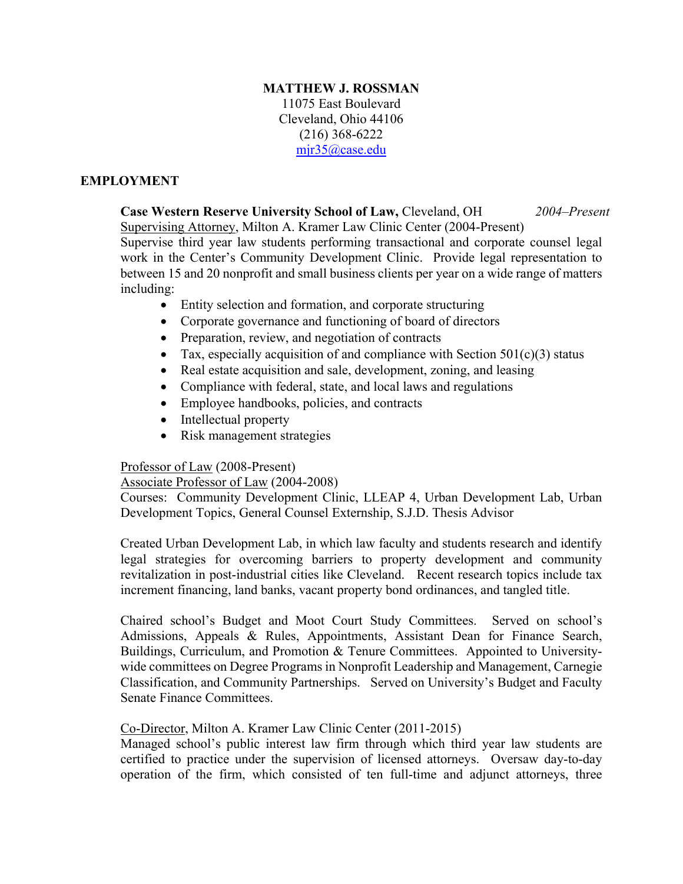# **MATTHEW J. ROSSMAN**

11075 East Boulevard Cleveland, Ohio 44106 (216) 368-6222 [mjr35@case.edu](mailto:mjr35@case.edu)

### **EMPLOYMENT**

### **Case Western Reserve University School of Law,** Cleveland, OH *2004–Present*

Supervising Attorney, Milton A. Kramer Law Clinic Center (2004-Present)

Supervise third year law students performing transactional and corporate counsel legal work in the Center's Community Development Clinic. Provide legal representation to between 15 and 20 nonprofit and small business clients per year on a wide range of matters including:

- Entity selection and formation, and corporate structuring
- Corporate governance and functioning of board of directors
- Preparation, review, and negotiation of contracts
- Tax, especially acquisition of and compliance with Section  $501(c)(3)$  status
- Real estate acquisition and sale, development, zoning, and leasing
- Compliance with federal, state, and local laws and regulations
- Employee handbooks, policies, and contracts
- Intellectual property
- Risk management strategies

# Professor of Law (2008-Present)

### Associate Professor of Law (2004-2008)

Courses: Community Development Clinic, LLEAP 4, Urban Development Lab, Urban Development Topics, General Counsel Externship, S.J.D. Thesis Advisor

Created Urban Development Lab, in which law faculty and students research and identify legal strategies for overcoming barriers to property development and community revitalization in post-industrial cities like Cleveland. Recent research topics include tax increment financing, land banks, vacant property bond ordinances, and tangled title.

Chaired school's Budget and Moot Court Study Committees. Served on school's Admissions, Appeals & Rules, Appointments, Assistant Dean for Finance Search, Buildings, Curriculum, and Promotion & Tenure Committees. Appointed to Universitywide committees on Degree Programs in Nonprofit Leadership and Management, Carnegie Classification, and Community Partnerships. Served on University's Budget and Faculty Senate Finance Committees.

# Co-Director, Milton A. Kramer Law Clinic Center (2011-2015)

Managed school's public interest law firm through which third year law students are certified to practice under the supervision of licensed attorneys. Oversaw day-to-day operation of the firm, which consisted of ten full-time and adjunct attorneys, three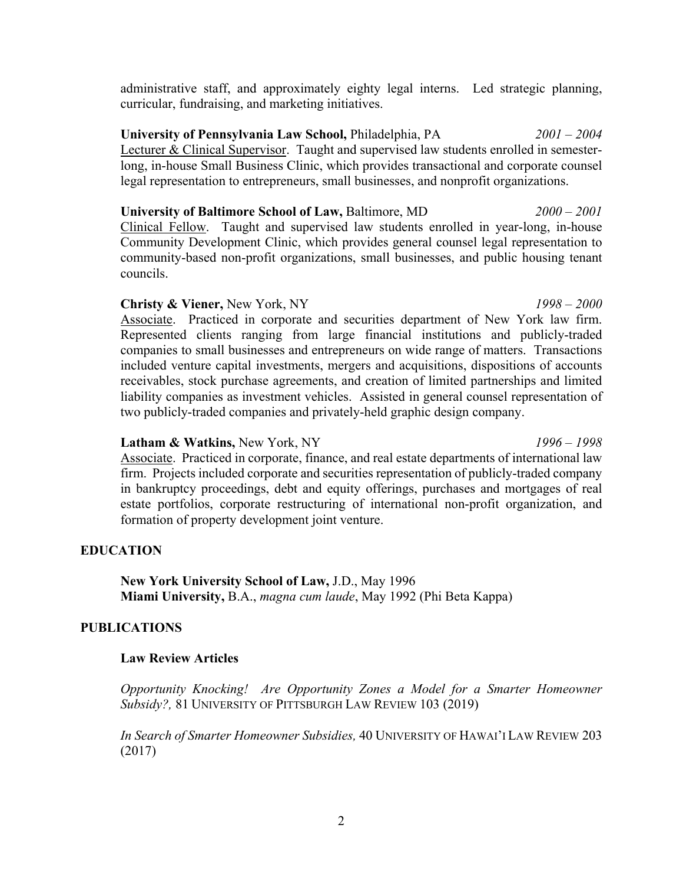administrative staff, and approximately eighty legal interns. Led strategic planning, curricular, fundraising, and marketing initiatives.

**University of Pennsylvania Law School,** Philadelphia, PA *2001 – 2004* Lecturer & Clinical Supervisor. Taught and supervised law students enrolled in semesterlong, in-house Small Business Clinic, which provides transactional and corporate counsel legal representation to entrepreneurs, small businesses, and nonprofit organizations.

**University of Baltimore School of Law,** Baltimore, MD *2000 – 2001* Clinical Fellow. Taught and supervised law students enrolled in year-long, in-house Community Development Clinic, which provides general counsel legal representation to community-based non-profit organizations, small businesses, and public housing tenant councils.

**Christy & Viener,** New York, NY *1998 – 2000* Associate. Practiced in corporate and securities department of New York law firm. Represented clients ranging from large financial institutions and publicly-traded companies to small businesses and entrepreneurs on wide range of matters. Transactions included venture capital investments, mergers and acquisitions, dispositions of accounts receivables, stock purchase agreements, and creation of limited partnerships and limited liability companies as investment vehicles. Assisted in general counsel representation of two publicly-traded companies and privately-held graphic design company.

### **Latham & Watkins,** New York, NY *1996 – 1998*

Associate. Practiced in corporate, finance, and real estate departments of international law firm. Projects included corporate and securities representation of publicly-traded company in bankruptcy proceedings, debt and equity offerings, purchases and mortgages of real estate portfolios, corporate restructuring of international non-profit organization, and formation of property development joint venture.

# **EDUCATION**

**New York University School of Law,** J.D., May 1996 **Miami University,** B.A., *magna cum laude*, May 1992 (Phi Beta Kappa)

### **PUBLICATIONS**

#### **Law Review Articles**

*Opportunity Knocking! Are Opportunity Zones a Model for a Smarter Homeowner Subsidy?,* 81 UNIVERSITY OF PITTSBURGH LAW REVIEW 103 (2019)

*In Search of Smarter Homeowner Subsidies,* 40 UNIVERSITY OF HAWAI'I LAW REVIEW 203 (2017)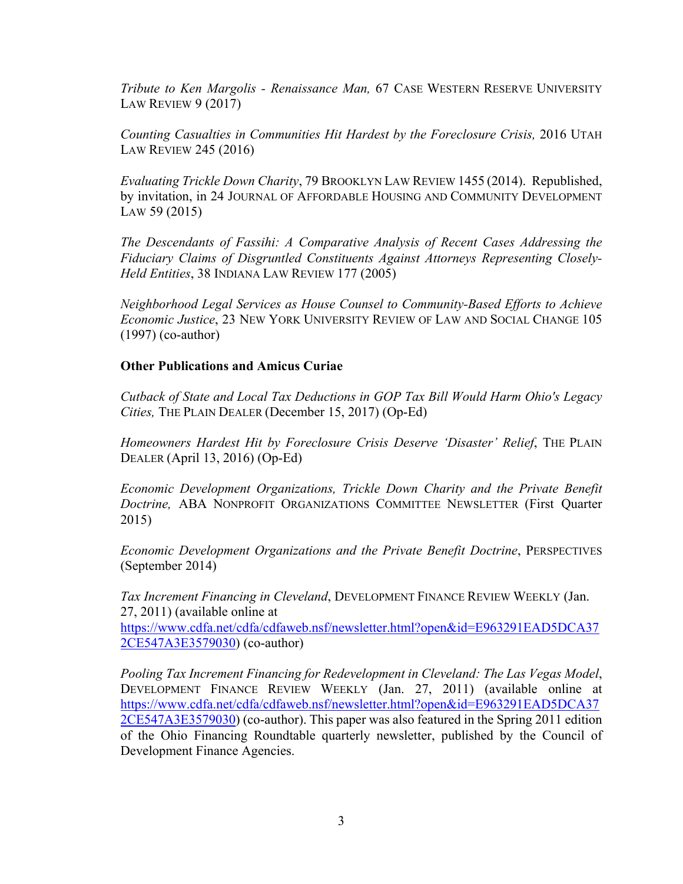*Tribute to Ken Margolis - Renaissance Man,* 67 CASE WESTERN RESERVE UNIVERSITY LAW REVIEW 9 (2017)

*Counting Casualties in Communities Hit Hardest by the Foreclosure Crisis,* 2016 UTAH LAW REVIEW 245 (2016)

*Evaluating Trickle Down Charity*, 79 BROOKLYN LAW REVIEW 1455 (2014). Republished, by invitation, in 24 JOURNAL OF AFFORDABLE HOUSING AND COMMUNITY DEVELOPMENT LAW 59 (2015)

*The Descendants of Fassihi: A Comparative Analysis of Recent Cases Addressing the Fiduciary Claims of Disgruntled Constituents Against Attorneys Representing Closely-Held Entities*, 38 INDIANA LAW REVIEW 177 (2005)

*Neighborhood Legal Services as House Counsel to Community-Based Efforts to Achieve Economic Justice*, 23 NEW YORK UNIVERSITY REVIEW OF LAW AND SOCIAL CHANGE 105 (1997) (co-author)

# **Other Publications and Amicus Curiae**

*Cutback of State and Local Tax Deductions in GOP Tax Bill Would Harm Ohio's Legacy Cities,* THE PLAIN DEALER (December 15, 2017) (Op-Ed)

*Homeowners Hardest Hit by Foreclosure Crisis Deserve 'Disaster' Relief*, THE PLAIN DEALER (April 13, 2016) (Op-Ed)

*Economic Development Organizations, Trickle Down Charity and the Private Benefit Doctrine,* ABA NONPROFIT ORGANIZATIONS COMMITTEE NEWSLETTER (First Quarter 2015)

*Economic Development Organizations and the Private Benefit Doctrine*, PERSPECTIVES (September 2014)

*Tax Increment Financing in Cleveland*, DEVELOPMENT FINANCE REVIEW WEEKLY (Jan. 27, 2011) (available online at

[https://www.cdfa.net/cdfa/cdfaweb.nsf/newsletter.html?open&id=E963291EAD5DCA37](https://www.cdfa.net/cdfa/cdfaweb.nsf/newsletter.html?open&id=E963291EAD5DCA372CE547A3E3579030) [2CE547A3E3579030\)](https://www.cdfa.net/cdfa/cdfaweb.nsf/newsletter.html?open&id=E963291EAD5DCA372CE547A3E3579030) (co-author)

*Pooling Tax Increment Financing for Redevelopment in Cleveland: The Las Vegas Model*, DEVELOPMENT FINANCE REVIEW WEEKLY (Jan. 27, 2011) (available online at [https://www.cdfa.net/cdfa/cdfaweb.nsf/newsletter.html?open&id=E963291EAD5DCA37](https://www.cdfa.net/cdfa/cdfaweb.nsf/newsletter.html?open&id=E963291EAD5DCA372CE547A3E3579030) [2CE547A3E3579030\)](https://www.cdfa.net/cdfa/cdfaweb.nsf/newsletter.html?open&id=E963291EAD5DCA372CE547A3E3579030) (co-author). This paper was also featured in the Spring 2011 edition of the Ohio Financing Roundtable quarterly newsletter, published by the Council of Development Finance Agencies.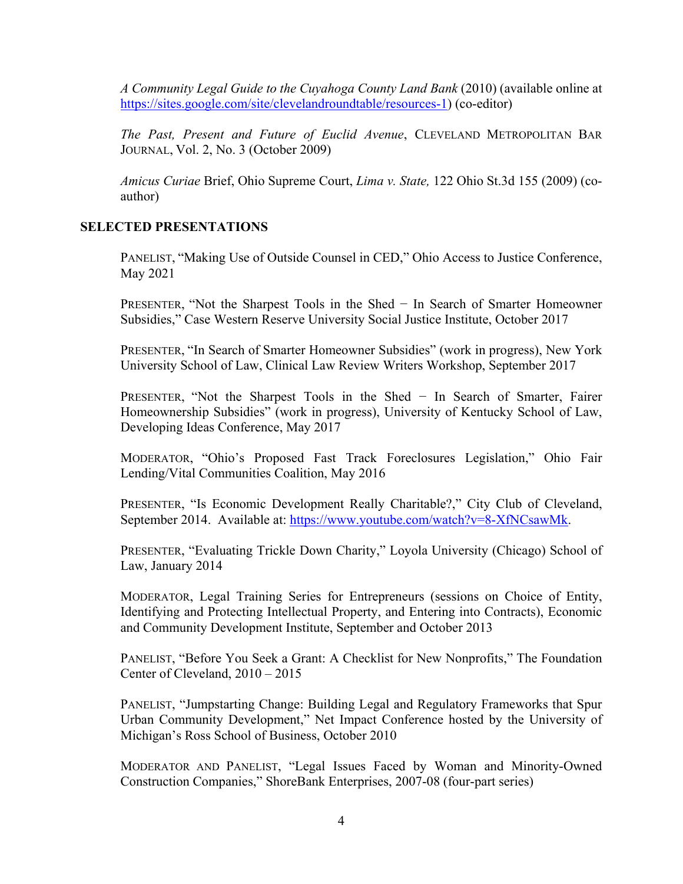*A Community Legal Guide to the Cuyahoga County Land Bank* (2010) (available online at [https://sites.google.com/site/clevelandroundtable/resources-1\)](https://sites.google.com/site/clevelandroundtable/resources-1) (co-editor)

*The Past, Present and Future of Euclid Avenue*, CLEVELAND METROPOLITAN BAR JOURNAL, Vol. 2, No. 3 (October 2009)

*Amicus Curiae* Brief, Ohio Supreme Court, *Lima v. State,* 122 Ohio St.3d 155 (2009) (coauthor)

#### **SELECTED PRESENTATIONS**

PANELIST, "Making Use of Outside Counsel in CED," Ohio Access to Justice Conference, May 2021

PRESENTER, "Not the Sharpest Tools in the Shed − In Search of Smarter Homeowner Subsidies," Case Western Reserve University Social Justice Institute, October 2017

PRESENTER, "In Search of Smarter Homeowner Subsidies" (work in progress), New York University School of Law, Clinical Law Review Writers Workshop, September 2017

PRESENTER, "Not the Sharpest Tools in the Shed − In Search of Smarter, Fairer Homeownership Subsidies" (work in progress), University of Kentucky School of Law, Developing Ideas Conference, May 2017

MODERATOR, "Ohio's Proposed Fast Track Foreclosures Legislation," Ohio Fair Lending/Vital Communities Coalition, May 2016

PRESENTER, "Is Economic Development Really Charitable?," City Club of Cleveland, September 2014. Available at: [https://www.youtube.com/watch?v=8-XfNCsawMk.](https://www.youtube.com/watch?v=8-XfNCsawMk)

PRESENTER, "Evaluating Trickle Down Charity," Loyola University (Chicago) School of Law, January 2014

MODERATOR, Legal Training Series for Entrepreneurs (sessions on Choice of Entity, Identifying and Protecting Intellectual Property, and Entering into Contracts), Economic and Community Development Institute, September and October 2013

PANELIST, "Before You Seek a Grant: A Checklist for New Nonprofits," The Foundation Center of Cleveland, 2010 – 2015

PANELIST, "Jumpstarting Change: Building Legal and Regulatory Frameworks that Spur Urban Community Development," Net Impact Conference hosted by the University of Michigan's Ross School of Business, October 2010

MODERATOR AND PANELIST, "Legal Issues Faced by Woman and Minority-Owned Construction Companies," ShoreBank Enterprises, 2007-08 (four-part series)